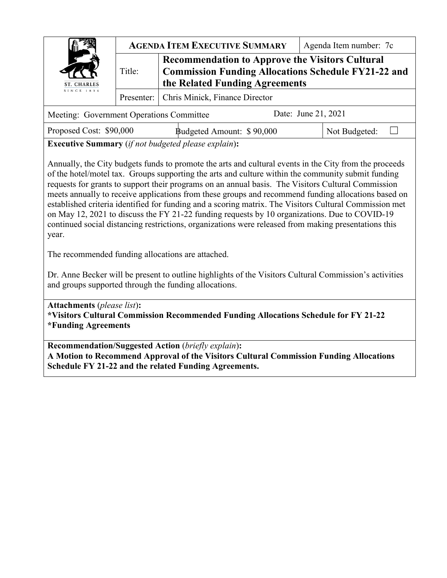|                                          |        | <b>AGENDA ITEM EXECUTIVE SUMMARY</b>                                                                                                                   | Agenda Item number: 7c |  |  |  |  |  |
|------------------------------------------|--------|--------------------------------------------------------------------------------------------------------------------------------------------------------|------------------------|--|--|--|--|--|
| ST. CHARLES                              | Title: | <b>Recommendation to Approve the Visitors Cultural</b><br><b>Commission Funding Allocations Schedule FY21-22 and</b><br>the Related Funding Agreements |                        |  |  |  |  |  |
| SINCE 1834                               |        | Presenter:   Chris Minick, Finance Director                                                                                                            |                        |  |  |  |  |  |
| Meeting: Government Operations Committee |        |                                                                                                                                                        | Date: June 21, 2021    |  |  |  |  |  |

| Proposed Cost: \$90,000 |  | Budgeted Amount: \$90,000                   | Not Budgeted: |
|-------------------------|--|---------------------------------------------|---------------|
|                         |  | $\sqrt{2}$ $\sqrt{1}$ $\sqrt{1}$ $\sqrt{1}$ |               |

**Executive Summary** (*if not budgeted please explain*)**:** 

Annually, the City budgets funds to promote the arts and cultural events in the City from the proceeds of the hotel/motel tax. Groups supporting the arts and culture within the community submit funding requests for grants to support their programs on an annual basis. The Visitors Cultural Commission meets annually to receive applications from these groups and recommend funding allocations based on established criteria identified for funding and a scoring matrix. The Visitors Cultural Commission met on May 12, 2021 to discuss the FY 21-22 funding requests by 10 organizations. Due to COVID-19 continued social distancing restrictions, organizations were released from making presentations this year.

The recommended funding allocations are attached.

Dr. Anne Becker will be present to outline highlights of the Visitors Cultural Commission's activities and groups supported through the funding allocations.

**Attachments** (*please list*)**: \*Visitors Cultural Commission Recommended Funding Allocations Schedule for FY 21-22 \*Funding Agreements**

**Recommendation/Suggested Action** (*briefly explain*)**: A Motion to Recommend Approval of the Visitors Cultural Commission Funding Allocations Schedule FY 21-22 and the related Funding Agreements.**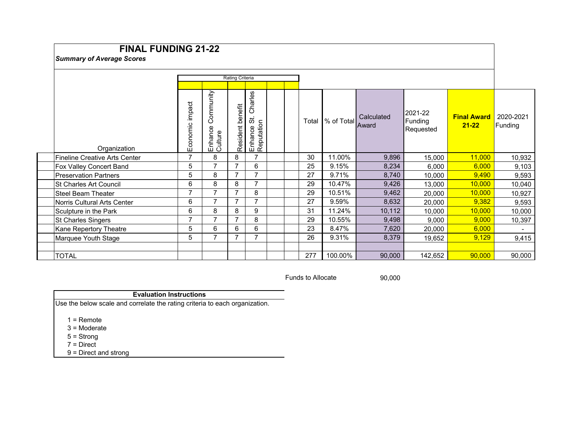# **FINAL FUNDING 21-22**

## *Summary of Average Scores*

|                               | <b>Rating Criteria</b> |                                 |                     |                                               |  |  |       |                  |            |                                 |                                 |                      |
|-------------------------------|------------------------|---------------------------------|---------------------|-----------------------------------------------|--|--|-------|------------------|------------|---------------------------------|---------------------------------|----------------------|
|                               |                        |                                 |                     |                                               |  |  |       |                  |            |                                 |                                 |                      |
| Organization                  | Economic impact        | Community<br>Enhance<br>Culture | benefit<br>Resident | Charles<br>.<br>ನ<br>Enhance St<br>Reputation |  |  | Total | % of Total Award | Calculated | 2021-22<br>Funding<br>Requested | <b>Final Award</b><br>$21 - 22$ | 2020-2021<br>Funding |
| Fineline Creative Arts Center | 7                      | 8                               | 8                   | 7                                             |  |  | 30    | 11.00%           | 9,896      | 15,000                          | 11,000                          | 10,932               |
| Fox Valley Concert Band       | 5                      | $\overline{7}$                  | ⇁                   | 6                                             |  |  | 25    | 9.15%            | 8,234      | 6,000                           | 6,000                           | 9,103                |
| lPreservation Partners        | 5                      | 8                               | 7                   | 7                                             |  |  | 27    | 9.71%            | 8,740      | 10,000                          | 9,490                           | 9,593                |
| <b>St Charles Art Council</b> | 6                      | 8                               | 8                   | 7                                             |  |  | 29    | 10.47%           | 9,426      | 13,000                          | 10,000                          | 10,040               |
| Steel Beam Theater            | 7                      | $\overline{ }$                  |                     | 8                                             |  |  | 29    | 10.51%           | 9,462      | 20,000                          | 10,000                          | 10,927               |
| Norris Cultural Arts Center   | 6                      | $\overline{7}$                  | 7                   | 7                                             |  |  | 27    | 9.59%            | 8,632      | 20,000                          | 9,382                           | 9,593                |
| Sculpture in the Park         | 6                      | 8                               | 8                   | 9                                             |  |  | 31    | 11.24%           | 10,112     | 10,000                          | 10,000                          | 10,000               |
| <b>St Charles Singers</b>     | $\overline{7}$         | $\overline{ }$                  |                     | 8                                             |  |  | 29    | 10.55%           | 9,498      | 9,000                           | 9,000                           | 10,397               |
| Kane Repertory Theatre        | 5                      | 6                               | 6                   | 6                                             |  |  | 23    | 8.47%            | 7,620      | 20,000                          | 6,000                           |                      |
| Marquee Youth Stage           | 5                      | $\overline{7}$                  |                     | 7                                             |  |  | 26    | 9.31%            | 8,379      | 19,652                          | 9,129                           | 9,415                |
|                               |                        |                                 |                     |                                               |  |  |       |                  |            |                                 |                                 |                      |
| <b>TOTAL</b>                  |                        |                                 |                     |                                               |  |  | 277   | 100.00%          | 90,000     | 142,652                         | 90,000                          | 90,000               |

Funds to Allocate 90,000

#### **Evaluation Instructions**

Use the below scale and correlate the rating criteria to each organization.

1 = Remote

3 = Moderate

5 = Strong

7 = Direct

9 = Direct and strong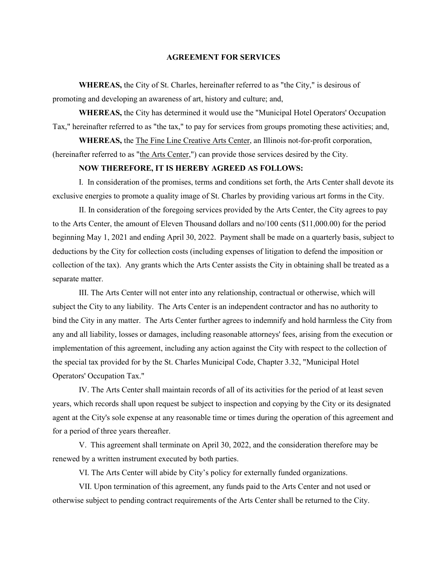**WHEREAS,** the City of St. Charles, hereinafter referred to as "the City," is desirous of promoting and developing an awareness of art, history and culture; and,

**WHEREAS,** the City has determined it would use the "Municipal Hotel Operators' Occupation Tax," hereinafter referred to as "the tax," to pay for services from groups promoting these activities; and,

**WHEREAS,** the The Fine Line Creative Arts Center, an Illinois not-for-profit corporation, (hereinafter referred to as "the Arts Center,") can provide those services desired by the City.

#### **NOW THEREFORE, IT IS HEREBY AGREED AS FOLLOWS:**

I. In consideration of the promises, terms and conditions set forth, the Arts Center shall devote its exclusive energies to promote a quality image of St. Charles by providing various art forms in the City.

II. In consideration of the foregoing services provided by the Arts Center, the City agrees to pay to the Arts Center, the amount of Eleven Thousand dollars and no/100 cents (\$11,000.00) for the period beginning May 1, 2021 and ending April 30, 2022. Payment shall be made on a quarterly basis, subject to deductions by the City for collection costs (including expenses of litigation to defend the imposition or collection of the tax). Any grants which the Arts Center assists the City in obtaining shall be treated as a separate matter.

III. The Arts Center will not enter into any relationship, contractual or otherwise, which will subject the City to any liability. The Arts Center is an independent contractor and has no authority to bind the City in any matter. The Arts Center further agrees to indemnify and hold harmless the City from any and all liability, losses or damages, including reasonable attorneys' fees, arising from the execution or implementation of this agreement, including any action against the City with respect to the collection of the special tax provided for by the St. Charles Municipal Code, Chapter 3.32, "Municipal Hotel Operators' Occupation Tax."

IV. The Arts Center shall maintain records of all of its activities for the period of at least seven years, which records shall upon request be subject to inspection and copying by the City or its designated agent at the City's sole expense at any reasonable time or times during the operation of this agreement and for a period of three years thereafter.

V. This agreement shall terminate on April 30, 2022, and the consideration therefore may be renewed by a written instrument executed by both parties.

VI. The Arts Center will abide by City's policy for externally funded organizations.

VII. Upon termination of this agreement, any funds paid to the Arts Center and not used or otherwise subject to pending contract requirements of the Arts Center shall be returned to the City.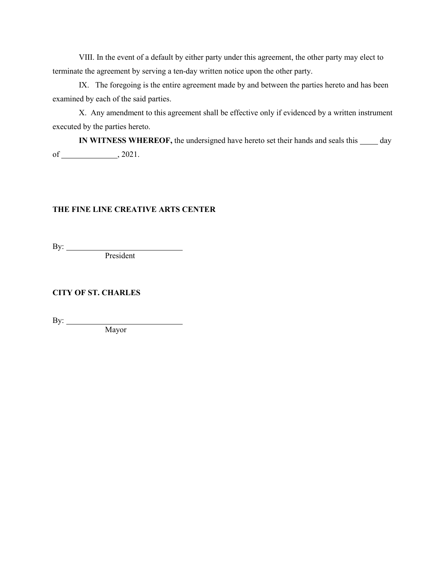IX. The foregoing is the entire agreement made by and between the parties hereto and has been examined by each of the said parties.

X. Any amendment to this agreement shall be effective only if evidenced by a written instrument executed by the parties hereto.

**IN WITNESS WHEREOF,** the undersigned have hereto set their hands and seals this  $\_\_\_\_$  day of  $\_\_\_\_$ , 2021.

## **THE FINE LINE CREATIVE ARTS CENTER**

By:

President

**CITY OF ST. CHARLES**

By:

Mayor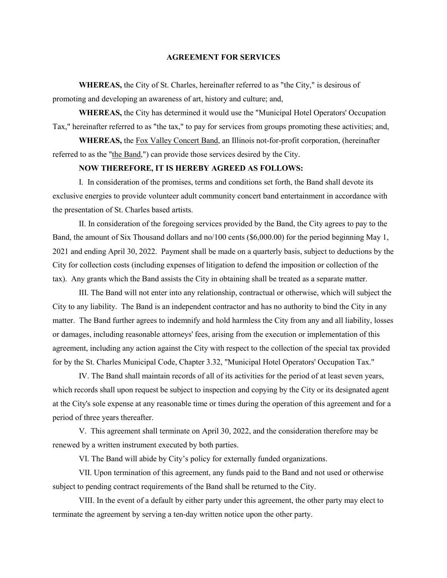**WHEREAS,** the City of St. Charles, hereinafter referred to as "the City," is desirous of promoting and developing an awareness of art, history and culture; and,

**WHEREAS,** the City has determined it would use the "Municipal Hotel Operators' Occupation Tax," hereinafter referred to as "the tax," to pay for services from groups promoting these activities; and,

**WHEREAS,** the Fox Valley Concert Band, an Illinois not-for-profit corporation, (hereinafter referred to as the "the Band,") can provide those services desired by the City.

#### **NOW THEREFORE, IT IS HEREBY AGREED AS FOLLOWS:**

I. In consideration of the promises, terms and conditions set forth, the Band shall devote its exclusive energies to provide volunteer adult community concert band entertainment in accordance with the presentation of St. Charles based artists.

II. In consideration of the foregoing services provided by the Band, the City agrees to pay to the Band, the amount of Six Thousand dollars and no/100 cents (\$6,000.00) for the period beginning May 1, 2021 and ending April 30, 2022. Payment shall be made on a quarterly basis, subject to deductions by the City for collection costs (including expenses of litigation to defend the imposition or collection of the tax). Any grants which the Band assists the City in obtaining shall be treated as a separate matter.

III. The Band will not enter into any relationship, contractual or otherwise, which will subject the City to any liability. The Band is an independent contractor and has no authority to bind the City in any matter. The Band further agrees to indemnify and hold harmless the City from any and all liability, losses or damages, including reasonable attorneys' fees, arising from the execution or implementation of this agreement, including any action against the City with respect to the collection of the special tax provided for by the St. Charles Municipal Code, Chapter 3.32, "Municipal Hotel Operators' Occupation Tax."

IV. The Band shall maintain records of all of its activities for the period of at least seven years, which records shall upon request be subject to inspection and copying by the City or its designated agent at the City's sole expense at any reasonable time or times during the operation of this agreement and for a period of three years thereafter.

V. This agreement shall terminate on April 30, 2022, and the consideration therefore may be renewed by a written instrument executed by both parties.

VI. The Band will abide by City's policy for externally funded organizations.

VII. Upon termination of this agreement, any funds paid to the Band and not used or otherwise subject to pending contract requirements of the Band shall be returned to the City.

VIII. In the event of a default by either party under this agreement, the other party may elect to terminate the agreement by serving a ten-day written notice upon the other party.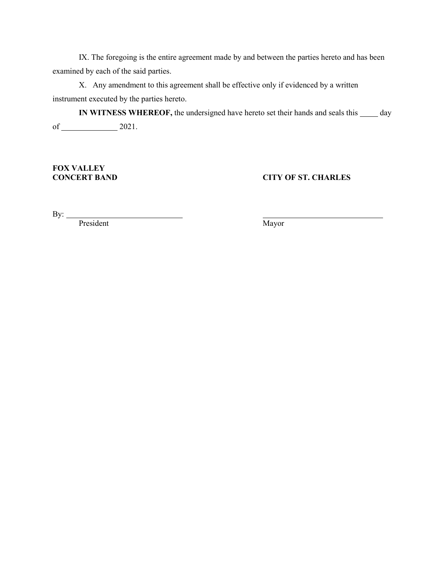IX. The foregoing is the entire agreement made by and between the parties hereto and has been examined by each of the said parties.

X. Any amendment to this agreement shall be effective only if evidenced by a written instrument executed by the parties hereto.

**IN WITNESS WHEREOF,** the undersigned have hereto set their hands and seals this  $\_\_\_\_$  day of 2021.

**FOX VALLEY** 

**CITY OF ST. CHARLES** 

By: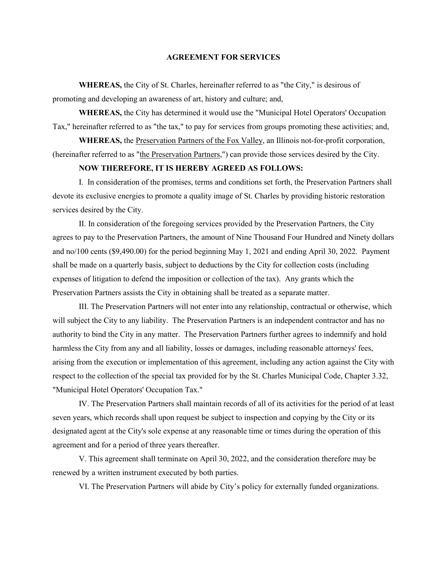**WHEREAS,** the City of St. Charles, hereinafter referred to as "the City," is desirous of promoting and developing an awareness of art, history and culture; and,

**WHEREAS,** the City has determined it would use the "Municipal Hotel Operators' Occupation Tax," hereinafter referred to as "the tax," to pay for services from groups promoting these activities; and,

**WHEREAS,** the Preservation Partners of the Fox Valley, an Illinois not-for-profit corporation, (hereinafter referred to as "the Preservation Partners,") can provide those services desired by the City.

## **NOW THEREFORE, IT IS HEREBY AGREED AS FOLLOWS:**

I. In consideration of the promises, terms and conditions set forth, the Preservation Partners shall devote its exclusive energies to promote a quality image of St. Charles by providing historic restoration services desired by the City.

II. In consideration of the foregoing services provided by the Preservation Partners, the City agrees to pay to the Preservation Partners, the amount of Nine Thousand Four Hundred and Ninety dollars and no/100 cents (\$9,490.00) for the period beginning May 1, 2021 and ending April 30, 2022. Payment shall be made on a quarterly basis, subject to deductions by the City for collection costs (including expenses of litigation to defend the imposition or collection of the tax). Any grants which the Preservation Partners assists the City in obtaining shall be treated as a separate matter.

III. The Preservation Partners will not enter into any relationship, contractual or otherwise, which will subject the City to any liability. The Preservation Partners is an independent contractor and has no authority to bind the City in any matter. The Preservation Partners further agrees to indemnify and hold harmless the City from any and all liability, losses or damages, including reasonable attorneys' fees, arising from the execution or implementation of this agreement, including any action against the City with respect to the collection of the special tax provided for by the St. Charles Municipal Code, Chapter 3.32, "Municipal Hotel Operators' Occupation Tax."

IV. The Preservation Partners shall maintain records of all of its activities for the period of at least seven years, which records shall upon request be subject to inspection and copying by the City or its designated agent at the City's sole expense at any reasonable time or times during the operation of this agreement and for a period of three years thereafter.

V. This agreement shall terminate on April 30, 2022, and the consideration therefore may be renewed by a written instrument executed by both parties.

VI. The Preservation Partners will abide by City's policy for externally funded organizations.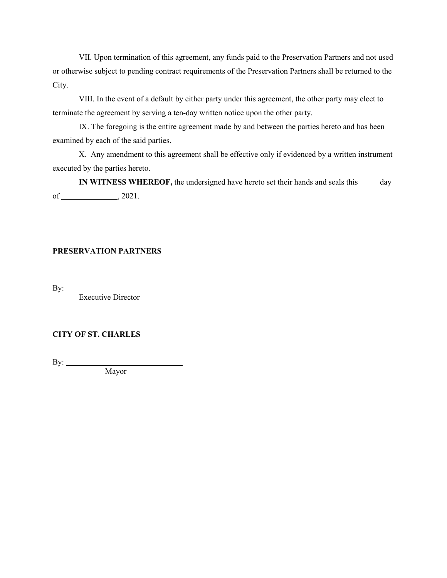VII. Upon termination of this agreement, any funds paid to the Preservation Partners and not used or otherwise subject to pending contract requirements of the Preservation Partners shall be returned to the City.

VIII. In the event of a default by either party under this agreement, the other party may elect to terminate the agreement by serving a ten-day written notice upon the other party.

IX. The foregoing is the entire agreement made by and between the parties hereto and has been examined by each of the said parties.

X. Any amendment to this agreement shall be effective only if evidenced by a written instrument executed by the parties hereto.

**IN WITNESS WHEREOF,** the undersigned have hereto set their hands and seals this day of  $\_\_\_\_\_$ , 2021.

## **PRESERVATION PARTNERS**

By:  $\_\_$ 

Executive Director

## **CITY OF ST. CHARLES**

By:

Mayor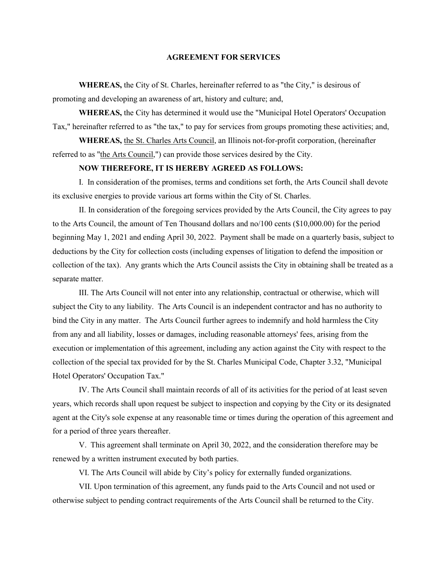**WHEREAS,** the City of St. Charles, hereinafter referred to as "the City," is desirous of promoting and developing an awareness of art, history and culture; and,

**WHEREAS,** the City has determined it would use the "Municipal Hotel Operators' Occupation Tax," hereinafter referred to as "the tax," to pay for services from groups promoting these activities; and,

**WHEREAS,** the St. Charles Arts Council, an Illinois not-for-profit corporation, (hereinafter referred to as "the Arts Council,") can provide those services desired by the City.

#### **NOW THEREFORE, IT IS HEREBY AGREED AS FOLLOWS:**

I. In consideration of the promises, terms and conditions set forth, the Arts Council shall devote its exclusive energies to provide various art forms within the City of St. Charles.

II. In consideration of the foregoing services provided by the Arts Council, the City agrees to pay to the Arts Council, the amount of Ten Thousand dollars and no/100 cents (\$10,000.00) for the period beginning May 1, 2021 and ending April 30, 2022. Payment shall be made on a quarterly basis, subject to deductions by the City for collection costs (including expenses of litigation to defend the imposition or collection of the tax). Any grants which the Arts Council assists the City in obtaining shall be treated as a separate matter.

III. The Arts Council will not enter into any relationship, contractual or otherwise, which will subject the City to any liability. The Arts Council is an independent contractor and has no authority to bind the City in any matter. The Arts Council further agrees to indemnify and hold harmless the City from any and all liability, losses or damages, including reasonable attorneys' fees, arising from the execution or implementation of this agreement, including any action against the City with respect to the collection of the special tax provided for by the St. Charles Municipal Code, Chapter 3.32, "Municipal Hotel Operators' Occupation Tax."

IV. The Arts Council shall maintain records of all of its activities for the period of at least seven years, which records shall upon request be subject to inspection and copying by the City or its designated agent at the City's sole expense at any reasonable time or times during the operation of this agreement and for a period of three years thereafter.

V. This agreement shall terminate on April 30, 2022, and the consideration therefore may be renewed by a written instrument executed by both parties.

VI. The Arts Council will abide by City's policy for externally funded organizations.

VII. Upon termination of this agreement, any funds paid to the Arts Council and not used or otherwise subject to pending contract requirements of the Arts Council shall be returned to the City.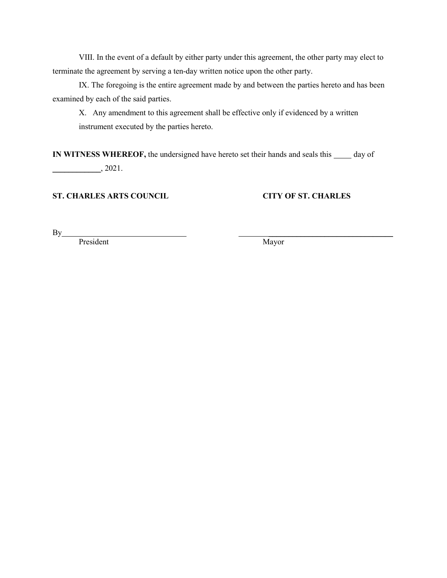IX. The foregoing is the entire agreement made by and between the parties hereto and has been examined by each of the said parties.

X. Any amendment to this agreement shall be effective only if evidenced by a written instrument executed by the parties hereto.

**IN WITNESS WHEREOF,** the undersigned have hereto set their hands and seals this  $\_\_\_\_$  day of  $\frac{2021}{ }$ 

## **ST. CHARLES ARTS COUNCIL CITY OF ST. CHARLES**

 $\mathbf{By}$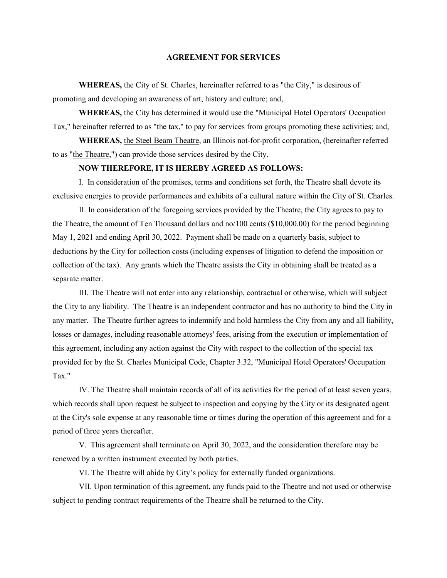**WHEREAS,** the City of St. Charles, hereinafter referred to as "the City," is desirous of promoting and developing an awareness of art, history and culture; and,

**WHEREAS,** the City has determined it would use the "Municipal Hotel Operators' Occupation Tax," hereinafter referred to as "the tax," to pay for services from groups promoting these activities; and,

**WHEREAS,** the Steel Beam Theatre, an Illinois not-for-profit corporation, (hereinafter referred to as "the Theatre,") can provide those services desired by the City.

#### **NOW THEREFORE, IT IS HEREBY AGREED AS FOLLOWS:**

I. In consideration of the promises, terms and conditions set forth, the Theatre shall devote its exclusive energies to provide performances and exhibits of a cultural nature within the City of St. Charles.

II. In consideration of the foregoing services provided by the Theatre, the City agrees to pay to the Theatre, the amount of Ten Thousand dollars and no/100 cents (\$10,000.00) for the period beginning May 1, 2021 and ending April 30, 2022. Payment shall be made on a quarterly basis, subject to deductions by the City for collection costs (including expenses of litigation to defend the imposition or collection of the tax). Any grants which the Theatre assists the City in obtaining shall be treated as a separate matter.

III. The Theatre will not enter into any relationship, contractual or otherwise, which will subject the City to any liability. The Theatre is an independent contractor and has no authority to bind the City in any matter. The Theatre further agrees to indemnify and hold harmless the City from any and all liability, losses or damages, including reasonable attorneys' fees, arising from the execution or implementation of this agreement, including any action against the City with respect to the collection of the special tax provided for by the St. Charles Municipal Code, Chapter 3.32, "Municipal Hotel Operators' Occupation Tax."

IV. The Theatre shall maintain records of all of its activities for the period of at least seven years, which records shall upon request be subject to inspection and copying by the City or its designated agent at the City's sole expense at any reasonable time or times during the operation of this agreement and for a period of three years thereafter.

V. This agreement shall terminate on April 30, 2022, and the consideration therefore may be renewed by a written instrument executed by both parties.

VI. The Theatre will abide by City's policy for externally funded organizations.

VII. Upon termination of this agreement, any funds paid to the Theatre and not used or otherwise subject to pending contract requirements of the Theatre shall be returned to the City.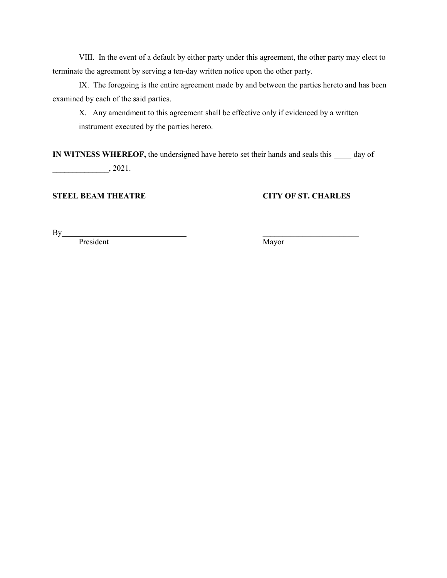IX. The foregoing is the entire agreement made by and between the parties hereto and has been examined by each of the said parties.

X. Any amendment to this agreement shall be effective only if evidenced by a written instrument executed by the parties hereto.

**IN WITNESS WHEREOF,** the undersigned have hereto set their hands and seals this  $\_\_\_\_$  day of  $\frac{1}{2021}$ .

## **STEEL BEAM THEATRE CITY OF ST. CHARLES**

 $\mathbf{By}$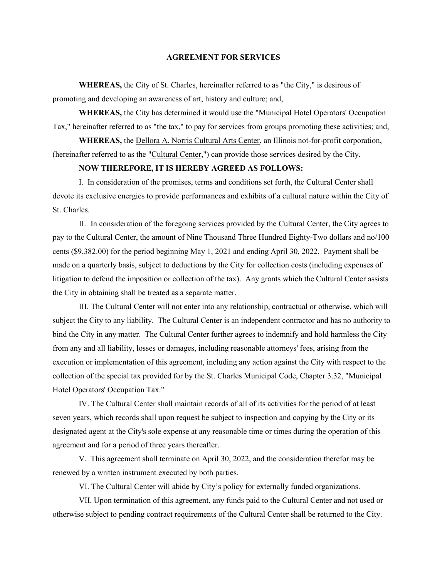**WHEREAS,** the City of St. Charles, hereinafter referred to as "the City," is desirous of promoting and developing an awareness of art, history and culture; and,

**WHEREAS,** the City has determined it would use the "Municipal Hotel Operators' Occupation Tax," hereinafter referred to as "the tax," to pay for services from groups promoting these activities; and,

**WHEREAS,** the Dellora A. Norris Cultural Arts Center, an Illinois not-for-profit corporation, (hereinafter referred to as the "Cultural Center,") can provide those services desired by the City.

#### **NOW THEREFORE, IT IS HEREBY AGREED AS FOLLOWS:**

I. In consideration of the promises, terms and conditions set forth, the Cultural Center shall devote its exclusive energies to provide performances and exhibits of a cultural nature within the City of St. Charles.

II. In consideration of the foregoing services provided by the Cultural Center, the City agrees to pay to the Cultural Center, the amount of Nine Thousand Three Hundred Eighty-Two dollars and no/100 cents (\$9,382.00) for the period beginning May 1, 2021 and ending April 30, 2022. Payment shall be made on a quarterly basis, subject to deductions by the City for collection costs (including expenses of litigation to defend the imposition or collection of the tax). Any grants which the Cultural Center assists the City in obtaining shall be treated as a separate matter.

III. The Cultural Center will not enter into any relationship, contractual or otherwise, which will subject the City to any liability. The Cultural Center is an independent contractor and has no authority to bind the City in any matter. The Cultural Center further agrees to indemnify and hold harmless the City from any and all liability, losses or damages, including reasonable attorneys' fees, arising from the execution or implementation of this agreement, including any action against the City with respect to the collection of the special tax provided for by the St. Charles Municipal Code, Chapter 3.32, "Municipal Hotel Operators' Occupation Tax."

IV. The Cultural Center shall maintain records of all of its activities for the period of at least seven years, which records shall upon request be subject to inspection and copying by the City or its designated agent at the City's sole expense at any reasonable time or times during the operation of this agreement and for a period of three years thereafter.

V. This agreement shall terminate on April 30, 2022, and the consideration therefor may be renewed by a written instrument executed by both parties.

VI. The Cultural Center will abide by City's policy for externally funded organizations.

VII. Upon termination of this agreement, any funds paid to the Cultural Center and not used or otherwise subject to pending contract requirements of the Cultural Center shall be returned to the City.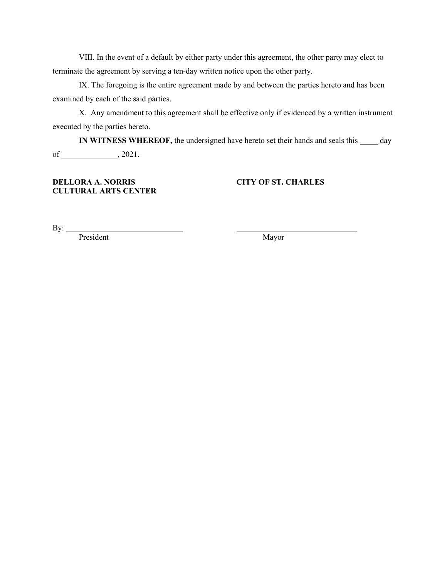IX. The foregoing is the entire agreement made by and between the parties hereto and has been examined by each of the said parties.

X. Any amendment to this agreement shall be effective only if evidenced by a written instrument executed by the parties hereto.

**IN WITNESS WHEREOF,** the undersigned have hereto set their hands and seals this  $\_\_\_\_$  day of  $\_\_\_\_$ , 2021.

## **DELLORA A. NORRIS CITY OF ST. CHARLES CULTURAL ARTS CENTER**

By: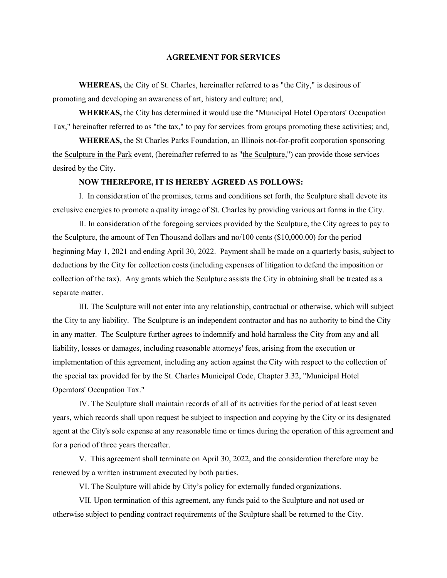**WHEREAS,** the City of St. Charles, hereinafter referred to as "the City," is desirous of promoting and developing an awareness of art, history and culture; and,

**WHEREAS,** the City has determined it would use the "Municipal Hotel Operators' Occupation Tax," hereinafter referred to as "the tax," to pay for services from groups promoting these activities; and,

**WHEREAS,** the St Charles Parks Foundation, an Illinois not-for-profit corporation sponsoring the Sculpture in the Park event, (hereinafter referred to as "the Sculpture,") can provide those services desired by the City.

#### **NOW THEREFORE, IT IS HEREBY AGREED AS FOLLOWS:**

I. In consideration of the promises, terms and conditions set forth, the Sculpture shall devote its exclusive energies to promote a quality image of St. Charles by providing various art forms in the City.

II. In consideration of the foregoing services provided by the Sculpture, the City agrees to pay to the Sculpture, the amount of Ten Thousand dollars and no/100 cents (\$10,000.00) for the period beginning May 1, 2021 and ending April 30, 2022. Payment shall be made on a quarterly basis, subject to deductions by the City for collection costs (including expenses of litigation to defend the imposition or collection of the tax). Any grants which the Sculpture assists the City in obtaining shall be treated as a separate matter.

III. The Sculpture will not enter into any relationship, contractual or otherwise, which will subject the City to any liability. The Sculpture is an independent contractor and has no authority to bind the City in any matter. The Sculpture further agrees to indemnify and hold harmless the City from any and all liability, losses or damages, including reasonable attorneys' fees, arising from the execution or implementation of this agreement, including any action against the City with respect to the collection of the special tax provided for by the St. Charles Municipal Code, Chapter 3.32, "Municipal Hotel Operators' Occupation Tax."

IV. The Sculpture shall maintain records of all of its activities for the period of at least seven years, which records shall upon request be subject to inspection and copying by the City or its designated agent at the City's sole expense at any reasonable time or times during the operation of this agreement and for a period of three years thereafter.

V. This agreement shall terminate on April 30, 2022, and the consideration therefore may be renewed by a written instrument executed by both parties.

VI. The Sculpture will abide by City's policy for externally funded organizations.

VII. Upon termination of this agreement, any funds paid to the Sculpture and not used or otherwise subject to pending contract requirements of the Sculpture shall be returned to the City.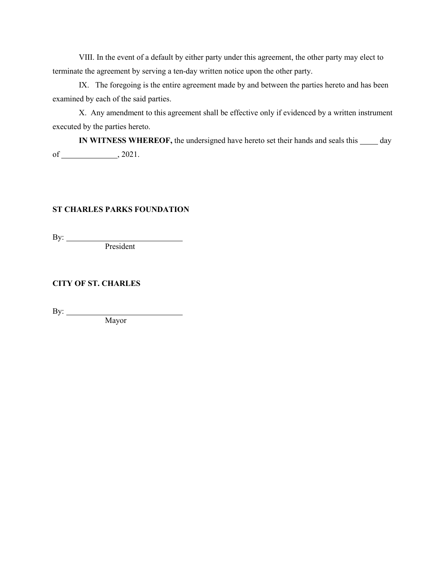IX. The foregoing is the entire agreement made by and between the parties hereto and has been examined by each of the said parties.

X. Any amendment to this agreement shall be effective only if evidenced by a written instrument executed by the parties hereto.

**IN WITNESS WHEREOF,** the undersigned have hereto set their hands and seals this  $\_\_\_\_$  day of  $\_\_\_\_$ , 2021.

## **ST CHARLES PARKS FOUNDATION**

By:

President

## **CITY OF ST. CHARLES**

By:

Mayor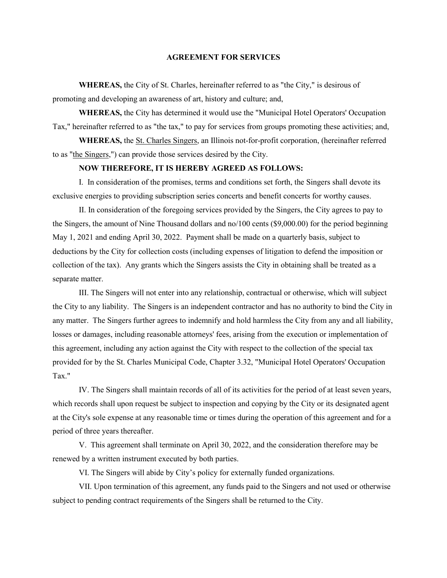**WHEREAS,** the City of St. Charles, hereinafter referred to as "the City," is desirous of promoting and developing an awareness of art, history and culture; and,

**WHEREAS,** the City has determined it would use the "Municipal Hotel Operators' Occupation Tax," hereinafter referred to as "the tax," to pay for services from groups promoting these activities; and,

**WHEREAS,** the St. Charles Singers, an Illinois not-for-profit corporation, (hereinafter referred to as "the Singers,") can provide those services desired by the City.

#### **NOW THEREFORE, IT IS HEREBY AGREED AS FOLLOWS:**

I. In consideration of the promises, terms and conditions set forth, the Singers shall devote its exclusive energies to providing subscription series concerts and benefit concerts for worthy causes.

II. In consideration of the foregoing services provided by the Singers, the City agrees to pay to the Singers, the amount of Nine Thousand dollars and no/100 cents (\$9,000.00) for the period beginning May 1, 2021 and ending April 30, 2022. Payment shall be made on a quarterly basis, subject to deductions by the City for collection costs (including expenses of litigation to defend the imposition or collection of the tax). Any grants which the Singers assists the City in obtaining shall be treated as a separate matter.

III. The Singers will not enter into any relationship, contractual or otherwise, which will subject the City to any liability. The Singers is an independent contractor and has no authority to bind the City in any matter. The Singers further agrees to indemnify and hold harmless the City from any and all liability, losses or damages, including reasonable attorneys' fees, arising from the execution or implementation of this agreement, including any action against the City with respect to the collection of the special tax provided for by the St. Charles Municipal Code, Chapter 3.32, "Municipal Hotel Operators' Occupation Tax."

IV. The Singers shall maintain records of all of its activities for the period of at least seven years, which records shall upon request be subject to inspection and copying by the City or its designated agent at the City's sole expense at any reasonable time or times during the operation of this agreement and for a period of three years thereafter.

V. This agreement shall terminate on April 30, 2022, and the consideration therefore may be renewed by a written instrument executed by both parties.

VI. The Singers will abide by City's policy for externally funded organizations.

VII. Upon termination of this agreement, any funds paid to the Singers and not used or otherwise subject to pending contract requirements of the Singers shall be returned to the City.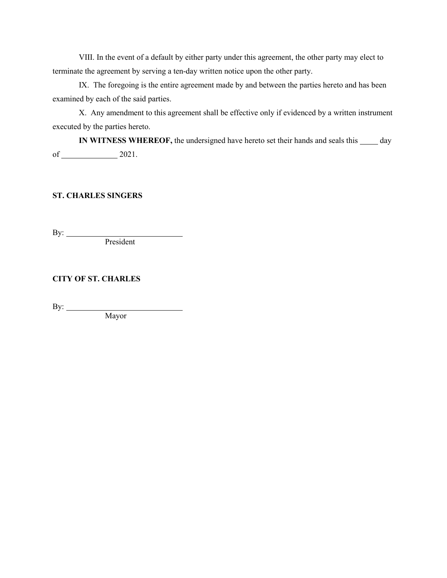IX. The foregoing is the entire agreement made by and between the parties hereto and has been examined by each of the said parties.

X. Any amendment to this agreement shall be effective only if evidenced by a written instrument executed by the parties hereto.

**IN WITNESS WHEREOF,** the undersigned have hereto set their hands and seals this  $\_\_\_\_$  day of  $2021.$ 

## **ST. CHARLES SINGERS**

By:

President

**CITY OF ST. CHARLES**

By:

Mayor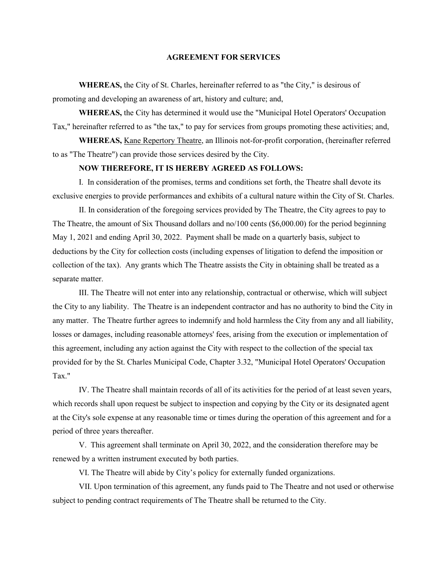**WHEREAS,** the City of St. Charles, hereinafter referred to as "the City," is desirous of promoting and developing an awareness of art, history and culture; and,

**WHEREAS,** the City has determined it would use the "Municipal Hotel Operators' Occupation Tax," hereinafter referred to as "the tax," to pay for services from groups promoting these activities; and,

**WHEREAS,** Kane Repertory Theatre, an Illinois not-for-profit corporation, (hereinafter referred to as "The Theatre") can provide those services desired by the City.

#### **NOW THEREFORE, IT IS HEREBY AGREED AS FOLLOWS:**

I. In consideration of the promises, terms and conditions set forth, the Theatre shall devote its exclusive energies to provide performances and exhibits of a cultural nature within the City of St. Charles.

II. In consideration of the foregoing services provided by The Theatre, the City agrees to pay to The Theatre, the amount of Six Thousand dollars and no/100 cents (\$6,000.00) for the period beginning May 1, 2021 and ending April 30, 2022. Payment shall be made on a quarterly basis, subject to deductions by the City for collection costs (including expenses of litigation to defend the imposition or collection of the tax). Any grants which The Theatre assists the City in obtaining shall be treated as a separate matter.

III. The Theatre will not enter into any relationship, contractual or otherwise, which will subject the City to any liability. The Theatre is an independent contractor and has no authority to bind the City in any matter. The Theatre further agrees to indemnify and hold harmless the City from any and all liability, losses or damages, including reasonable attorneys' fees, arising from the execution or implementation of this agreement, including any action against the City with respect to the collection of the special tax provided for by the St. Charles Municipal Code, Chapter 3.32, "Municipal Hotel Operators' Occupation Tax."

IV. The Theatre shall maintain records of all of its activities for the period of at least seven years, which records shall upon request be subject to inspection and copying by the City or its designated agent at the City's sole expense at any reasonable time or times during the operation of this agreement and for a period of three years thereafter.

V. This agreement shall terminate on April 30, 2022, and the consideration therefore may be renewed by a written instrument executed by both parties.

VI. The Theatre will abide by City's policy for externally funded organizations.

VII. Upon termination of this agreement, any funds paid to The Theatre and not used or otherwise subject to pending contract requirements of The Theatre shall be returned to the City.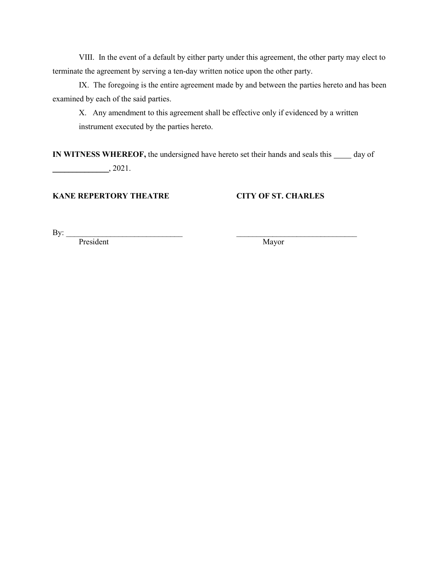IX. The foregoing is the entire agreement made by and between the parties hereto and has been examined by each of the said parties.

X. Any amendment to this agreement shall be effective only if evidenced by a written instrument executed by the parties hereto.

**IN WITNESS WHEREOF,** the undersigned have hereto set their hands and seals this  $\_\_\_\_$  day of \_\_\_\_\_\_\_\_\_\_\_\_\_\_, 2021.

## **KANE REPERTORY THEATRE CITY OF ST. CHARLES**

By: <u>President</u> President Mayor President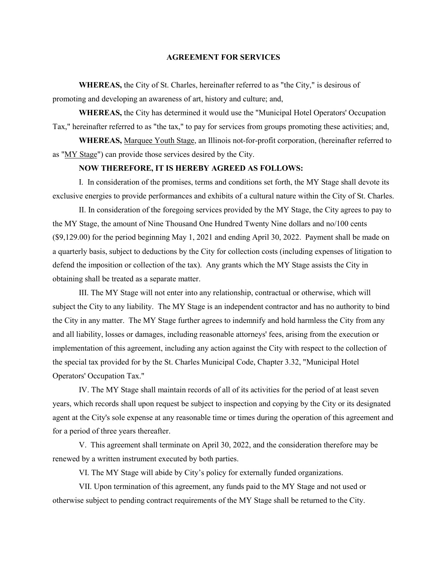**WHEREAS,** the City of St. Charles, hereinafter referred to as "the City," is desirous of promoting and developing an awareness of art, history and culture; and,

**WHEREAS,** the City has determined it would use the "Municipal Hotel Operators' Occupation Tax," hereinafter referred to as "the tax," to pay for services from groups promoting these activities; and,

**WHEREAS,** Marquee Youth Stage, an Illinois not-for-profit corporation, (hereinafter referred to as "MY Stage") can provide those services desired by the City.

#### **NOW THEREFORE, IT IS HEREBY AGREED AS FOLLOWS:**

I. In consideration of the promises, terms and conditions set forth, the MY Stage shall devote its exclusive energies to provide performances and exhibits of a cultural nature within the City of St. Charles.

II. In consideration of the foregoing services provided by the MY Stage, the City agrees to pay to the MY Stage, the amount of Nine Thousand One Hundred Twenty Nine dollars and no/100 cents (\$9,129.00) for the period beginning May 1, 2021 and ending April 30, 2022. Payment shall be made on a quarterly basis, subject to deductions by the City for collection costs (including expenses of litigation to defend the imposition or collection of the tax). Any grants which the MY Stage assists the City in obtaining shall be treated as a separate matter.

III. The MY Stage will not enter into any relationship, contractual or otherwise, which will subject the City to any liability. The MY Stage is an independent contractor and has no authority to bind the City in any matter. The MY Stage further agrees to indemnify and hold harmless the City from any and all liability, losses or damages, including reasonable attorneys' fees, arising from the execution or implementation of this agreement, including any action against the City with respect to the collection of the special tax provided for by the St. Charles Municipal Code, Chapter 3.32, "Municipal Hotel Operators' Occupation Tax."

IV. The MY Stage shall maintain records of all of its activities for the period of at least seven years, which records shall upon request be subject to inspection and copying by the City or its designated agent at the City's sole expense at any reasonable time or times during the operation of this agreement and for a period of three years thereafter.

V. This agreement shall terminate on April 30, 2022, and the consideration therefore may be renewed by a written instrument executed by both parties.

VI. The MY Stage will abide by City's policy for externally funded organizations.

VII. Upon termination of this agreement, any funds paid to the MY Stage and not used or otherwise subject to pending contract requirements of the MY Stage shall be returned to the City.